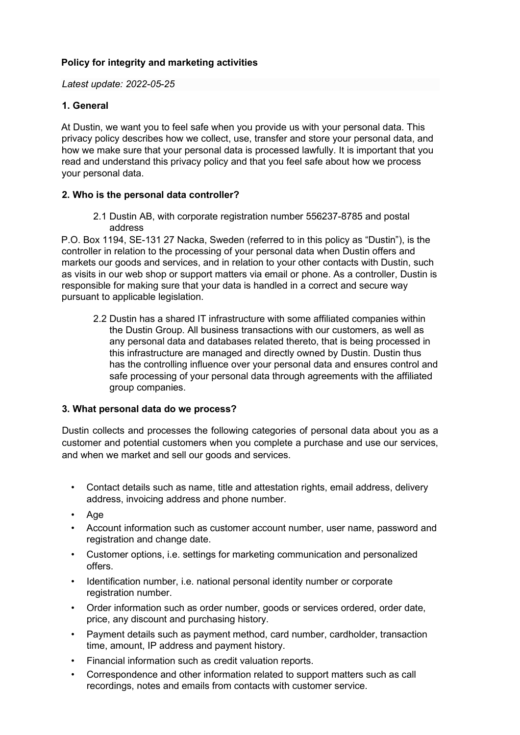## **Policy for integrity and marketing activities**

*Latest update: 2022-05-25* 

## **1. General**

At Dustin, we want you to feel safe when you provide us with your personal data. This privacy policy describes how we collect, use, transfer and store your personal data, and how we make sure that your personal data is processed lawfully. It is important that you read and understand this privacy policy and that you feel safe about how we process your personal data.

## **2. Who is the personal data controller?**

2.1 Dustin AB, with corporate registration number 556237-8785 and postal address

P.O. Box 1194, SE-131 27 Nacka, Sweden (referred to in this policy as "Dustin"), is the controller in relation to the processing of your personal data when Dustin offers and markets our goods and services, and in relation to your other contacts with Dustin, such as visits in our web shop or support matters via email or phone. As a controller, Dustin is responsible for making sure that your data is handled in a correct and secure way pursuant to applicable legislation.

2.2 Dustin has a shared IT infrastructure with some affiliated companies within the Dustin Group. All business transactions with our customers, as well as any personal data and databases related thereto, that is being processed in this infrastructure are managed and directly owned by Dustin. Dustin thus has the controlling influence over your personal data and ensures control and safe processing of your personal data through agreements with the affiliated group companies.

## **3. What personal data do we process?**

Dustin collects and processes the following categories of personal data about you as a customer and potential customers when you complete a purchase and use our services, and when we market and sell our goods and services.

- Contact details such as name, title and attestation rights, email address, delivery address, invoicing address and phone number.
- Age
- Account information such as customer account number, user name, password and registration and change date.
- Customer options, i.e. settings for marketing communication and personalized offers.
- Identification number, i.e. national personal identity number or corporate registration number.
- Order information such as order number, goods or services ordered, order date, price, any discount and purchasing history.
- Payment details such as payment method, card number, cardholder, transaction time, amount, IP address and payment history.
- Financial information such as credit valuation reports.
- Correspondence and other information related to support matters such as call recordings, notes and emails from contacts with customer service.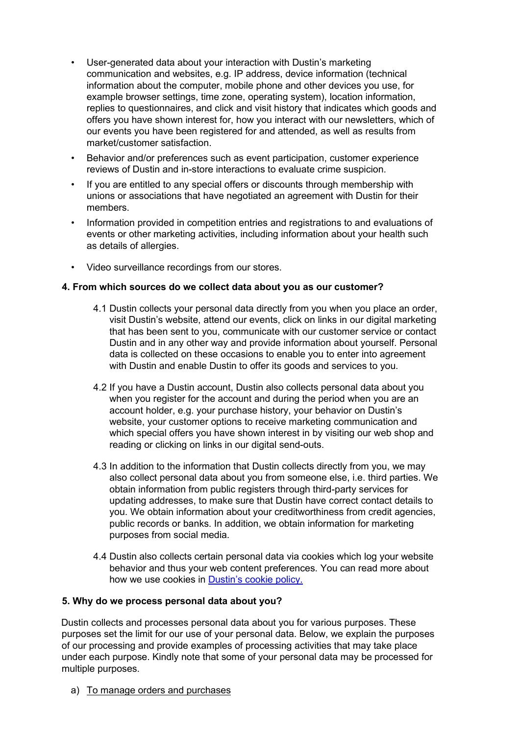- User-generated data about your interaction with Dustin's marketing communication and websites, e.g. IP address, device information (technical information about the computer, mobile phone and other devices you use, for example browser settings, time zone, operating system), location information, replies to questionnaires, and click and visit history that indicates which goods and offers you have shown interest for, how you interact with our newsletters, which of our events you have been registered for and attended, as well as results from market/customer satisfaction.
- Behavior and/or preferences such as event participation, customer experience reviews of Dustin and in-store interactions to evaluate crime suspicion.
- If you are entitled to any special offers or discounts through membership with unions or associations that have negotiated an agreement with Dustin for their members.
- Information provided in competition entries and registrations to and evaluations of events or other marketing activities, including information about your health such as details of allergies.
- Video surveillance recordings from our stores.

## **4. From which sources do we collect data about you as our customer?**

- 4.1 Dustin collects your personal data directly from you when you place an order, visit Dustin's website, attend our events, click on links in our digital marketing that has been sent to you, communicate with our customer service or contact Dustin and in any other way and provide information about yourself. Personal data is collected on these occasions to enable you to enter into agreement with Dustin and enable Dustin to offer its goods and services to you.
- 4.2 If you have a Dustin account, Dustin also collects personal data about you when you register for the account and during the period when you are an account holder, e.g. your purchase history, your behavior on Dustin's website, your customer options to receive marketing communication and which special offers you have shown interest in by visiting our web shop and reading or clicking on links in our digital send-outs.
- 4.3 In addition to the information that Dustin collects directly from you, we may also collect personal data about you from someone else, i.e. third parties. We obtain information from public registers through third-party services for updating addresses, to make sure that Dustin have correct contact details to you. We obtain information about your creditworthiness from credit agencies, public records or banks. In addition, we obtain information for marketing purposes from social media.
- 4.4 Dustin also collects certain personal data via cookies which log your website behavior and thus your web content preferences. You can read more about how we use cookies i[n](https://www.dustin.se/service/cookies) [Dustin's cookie policy.](https://www.dustin.se/service/cookies)

#### **5. Why do we process personal data about you?**

Dustin collects and processes personal data about you for various purposes. These purposes set the limit for our use of your personal data. Below, we explain the purposes of our processing and provide examples of processing activities that may take place under each purpose. Kindly note that some of your personal data may be processed for multiple purposes.

a) To manage orders and purchases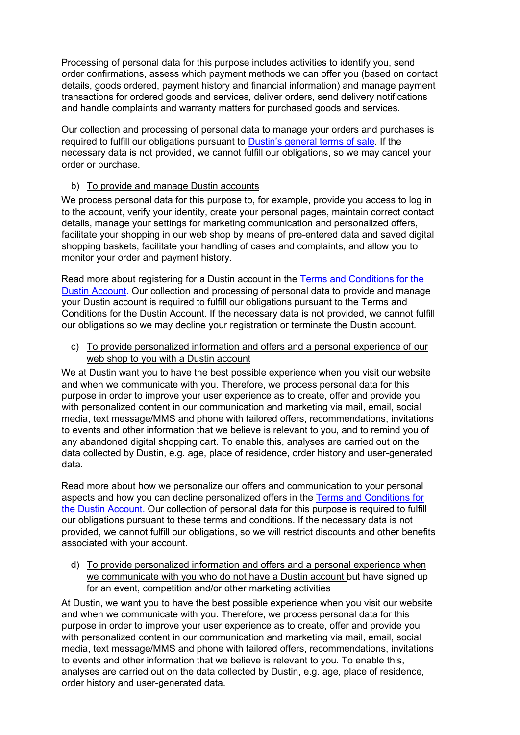Processing of personal data for this purpose includes activities to identify you, send order confirmations, assess which payment methods we can offer you (based on contact details, goods ordered, payment history and financial information) and manage payment transactions for ordered goods and services, deliver orders, send delivery notifications and handle complaints and warranty matters for purchased goods and services.

Our collection and processing of personal data to manage your orders and purchases is required to fulfill our obligations pursuant t[o](https://www.dustin.se/service/forsaljningsvillkor) [Dustin's general terms of sale.](https://www.dustin.se/service/forsaljningsvillkor) If the necessary data is not provided, we cannot fulfill our obligations, so we may cancel your order or purchase.

#### b) To provide and manage Dustin accounts

We process personal data for this purpose to, for example, provide you access to log in to the account, verify your identity, create your personal pages, maintain correct contact details, manage your settings for marketing communication and personalized offers, facilitate your shopping in our web shop by means of pre-entered data and saved digital shopping baskets, facilitate your handling of cases and complaints, and allow you to monitor your order and payment history.

Read more about registering for a Dustin account in the [Terms and Conditions for the](https://www.dustin.se/service/dustinkonto/)  [Dustin Account.](https://www.dustin.se/service/dustinkonto/) Our collection and processing of personal data to provide and manage your Dustin account is required to fulfill our obligations pursuant to the Terms and Conditions for the Dustin Account. If the necessary data is not provided, we cannot fulfill our obligations so we may decline your registration or terminate the Dustin account.

c) To provide personalized information and offers and a personal experience of our web shop to you with a Dustin account

We at Dustin want you to have the best possible experience when you visit our website and when we communicate with you. Therefore, we process personal data for this purpose in order to improve your user experience as to create, offer and provide you with personalized content in our communication and marketing via mail, email, social media, text message/MMS and phone with tailored offers, recommendations, invitations to events and other information that we believe is relevant to you, and to remind you of any abandoned digital shopping cart. To enable this, analyses are carried out on the data collected by Dustin, e.g. age, place of residence, order history and user-generated data.

Read more about how we personalize our offers and communication to your personal aspects and how you can decline personalized offers in th[e](https://www.dustin.se/service/dustinkonto/) [Terms and Conditions for](https://www.dustin.se/service/dustinkonto/)  [the Dustin Account.](https://www.dustin.se/service/dustinkonto/) Our collection of personal data for this purpose is required to fulfill our obligations pursuant to these terms and conditions. If the necessary data is not provided, we cannot fulfill our obligations, so we will restrict discounts and other benefits associated with your account.

d) To provide personalized information and offers and a personal experience when we communicate with you who do not have a Dustin account but have signed up for an event, competition and/or other marketing activities

At Dustin, we want you to have the best possible experience when you visit our website and when we communicate with you. Therefore, we process personal data for this purpose in order to improve your user experience as to create, offer and provide you with personalized content in our communication and marketing via mail, email, social media, text message/MMS and phone with tailored offers, recommendations, invitations to events and other information that we believe is relevant to you. To enable this, analyses are carried out on the data collected by Dustin, e.g. age, place of residence, order history and user-generated data.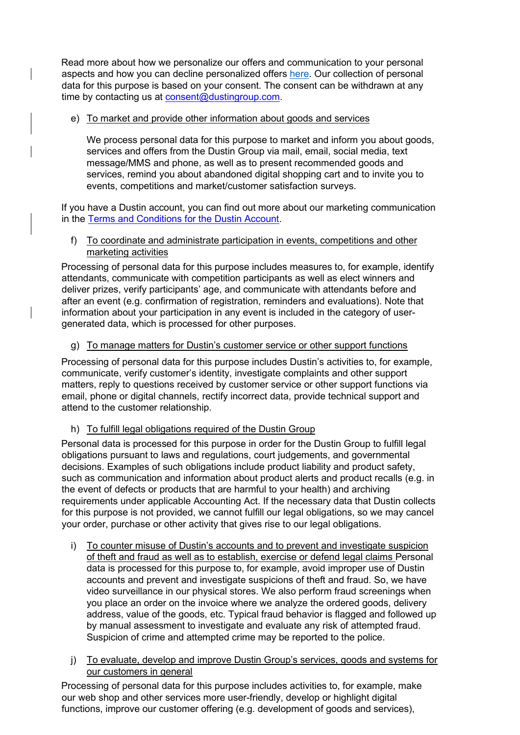Read more about how we personalize our offers and communication to your personal aspects and how you can decline personalized offers [here.](#page-13-0) Our collection of personal data for this purpose is based on your consent. The consent can be withdrawn at any time by contacting us at **consent@dustingroup.com**.

## e) To market and provide other information about goods and services

We process personal data for this purpose to market and inform you about goods, services and offers from the Dustin Group via mail, email, social media, text message/MMS and phone, as well as to present recommended goods and services, remind you about abandoned digital shopping cart and to invite you to events, competitions and market/customer satisfaction surveys.

If you have a Dustin account, you can find out more about our marketing communication in th[e](https://www.dustin.se/service/dustinkonto/) [Terms and Conditions for the Dustin Account.](https://www.dustin.se/service/dustinkonto/) 

#### f) To coordinate and administrate participation in events, competitions and other marketing activities

Processing of personal data for this purpose includes measures to, for example, identify attendants, communicate with competition participants as well as elect winners and deliver prizes, verify participants' age, and communicate with attendants before and after an event (e.g. confirmation of registration, reminders and evaluations). Note that information about your participation in any event is included in the category of usergenerated data, which is processed for other purposes.

#### g) To manage matters for Dustin's customer service or other support functions

Processing of personal data for this purpose includes Dustin's activities to, for example, communicate, verify customer's identity, investigate complaints and other support matters, reply to questions received by customer service or other support functions via email, phone or digital channels, rectify incorrect data, provide technical support and attend to the customer relationship.

## h) To fulfill legal obligations required of the Dustin Group

Personal data is processed for this purpose in order for the Dustin Group to fulfill legal obligations pursuant to laws and regulations, court judgements, and governmental decisions. Examples of such obligations include product liability and product safety, such as communication and information about product alerts and product recalls (e.g. in the event of defects or products that are harmful to your health) and archiving requirements under applicable Accounting Act. If the necessary data that Dustin collects for this purpose is not provided, we cannot fulfill our legal obligations, so we may cancel your order, purchase or other activity that gives rise to our legal obligations.

- i) To counter misuse of Dustin's accounts and to prevent and investigate suspicion of theft and fraud as well as to establish, exercise or defend legal claims Personal data is processed for this purpose to, for example, avoid improper use of Dustin accounts and prevent and investigate suspicions of theft and fraud. So, we have video surveillance in our physical stores. We also perform fraud screenings when you place an order on the invoice where we analyze the ordered goods, delivery address, value of the goods, etc. Typical fraud behavior is flagged and followed up by manual assessment to investigate and evaluate any risk of attempted fraud. Suspicion of crime and attempted crime may be reported to the police.
- j) To evaluate, develop and improve Dustin Group's services, goods and systems for our customers in general

Processing of personal data for this purpose includes activities to, for example, make our web shop and other services more user-friendly, develop or highlight digital functions, improve our customer offering (e.g. development of goods and services),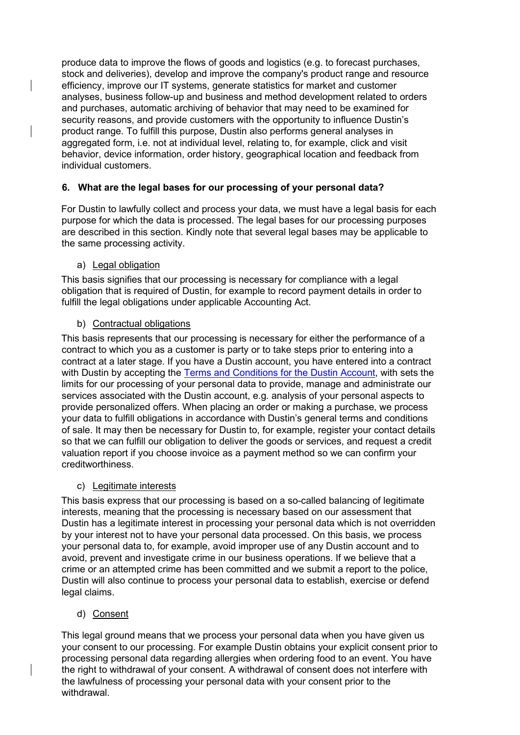produce data to improve the flows of goods and logistics (e.g. to forecast purchases, stock and deliveries), develop and improve the company's product range and resource efficiency, improve our IT systems, generate statistics for market and customer analyses, business follow-up and business and method development related to orders and purchases, automatic archiving of behavior that may need to be examined for security reasons, and provide customers with the opportunity to influence Dustin's product range. To fulfill this purpose, Dustin also performs general analyses in aggregated form, i.e. not at individual level, relating to, for example, click and visit behavior, device information, order history, geographical location and feedback from individual customers.

## **6. What are the legal bases for our processing of your personal data?**

For Dustin to lawfully collect and process your data, we must have a legal basis for each purpose for which the data is processed. The legal bases for our processing purposes are described in this section. Kindly note that several legal bases may be applicable to the same processing activity.

#### a) Legal obligation

This basis signifies that our processing is necessary for compliance with a legal obligation that is required of Dustin, for example to record payment details in order to fulfill the legal obligations under applicable Accounting Act.

#### b) Contractual obligations

This basis represents that our processing is necessary for either the performance of a contract to which you as a customer is party or to take steps prior to entering into a contract at a later stage. If you have a Dustin account, you have entered into a contract with Dustin by accepting the [Terms and Conditions for the Dustin Account,](https://www.dustin.se/service/dustinkonto/) with sets the limits for our processing of your personal data to provide, manage and administrate our services associated with the Dustin account, e.g. analysis of your personal aspects to provide personalized offers. When placing an order or making a purchase, we process your data to fulfill obligations in accordance with Dustin's general terms and conditions of sale. It may then be necessary for Dustin to, for example, register your contact details so that we can fulfill our obligation to deliver the goods or services, and request a credit valuation report if you choose invoice as a payment method so we can confirm your creditworthiness.

#### c) Legitimate interests

This basis express that our processing is based on a so-called balancing of legitimate interests, meaning that the processing is necessary based on our assessment that Dustin has a legitimate interest in processing your personal data which is not overridden by your interest not to have your personal data processed. On this basis, we process your personal data to, for example, avoid improper use of any Dustin account and to avoid, prevent and investigate crime in our business operations. If we believe that a crime or an attempted crime has been committed and we submit a report to the police, Dustin will also continue to process your personal data to establish, exercise or defend legal claims.

#### d) Consent

This legal ground means that we process your personal data when you have given us your consent to our processing. For example Dustin obtains your explicit consent prior to processing personal data regarding allergies when ordering food to an event. You have the right to withdrawal of your consent. A withdrawal of consent does not interfere with the lawfulness of processing your personal data with your consent prior to the withdrawal.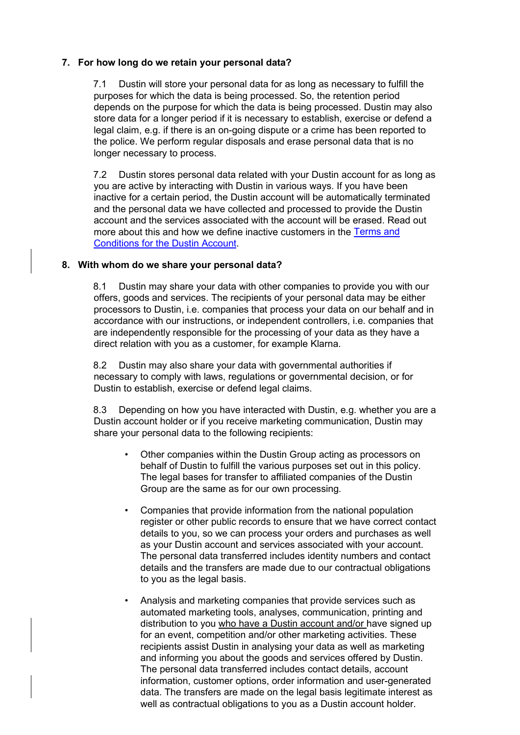#### **7. For how long do we retain your personal data?**

7.1 Dustin will store your personal data for as long as necessary to fulfill the purposes for which the data is being processed. So, the retention period depends on the purpose for which the data is being processed. Dustin may also store data for a longer period if it is necessary to establish, exercise or defend a legal claim, e.g. if there is an on-going dispute or a crime has been reported to the police. We perform regular disposals and erase personal data that is no longer necessary to process.

7.2 Dustin stores personal data related with your Dustin account for as long as you are active by interacting with Dustin in various ways. If you have been inactive for a certain period, the Dustin account will be automatically terminated and the personal data we have collected and processed to provide the Dustin account and the services associated with the account will be erased. Read out more about this and how we define inactive customers in the [Terms and](https://www.dustin.se/service/dustinkonto/)  [Conditions for the Dustin Account.](https://www.dustin.se/service/dustinkonto/) 

#### **8. With whom do we share your personal data?**

8.1 Dustin may share your data with other companies to provide you with our offers, goods and services. The recipients of your personal data may be either processors to Dustin, i.e. companies that process your data on our behalf and in accordance with our instructions, or independent controllers, i.e. companies that are independently responsible for the processing of your data as they have a direct relation with you as a customer, for example Klarna.

8.2 Dustin may also share your data with governmental authorities if necessary to comply with laws, regulations or governmental decision, or for Dustin to establish, exercise or defend legal claims.

8.3 Depending on how you have interacted with Dustin, e.g. whether you are a Dustin account holder or if you receive marketing communication, Dustin may share your personal data to the following recipients:

- Other companies within the Dustin Group acting as processors on behalf of Dustin to fulfill the various purposes set out in this policy. The legal bases for transfer to affiliated companies of the Dustin Group are the same as for our own processing.
- Companies that provide information from the national population register or other public records to ensure that we have correct contact details to you, so we can process your orders and purchases as well as your Dustin account and services associated with your account. The personal data transferred includes identity numbers and contact details and the transfers are made due to our contractual obligations to you as the legal basis.
- Analysis and marketing companies that provide services such as automated marketing tools, analyses, communication, printing and distribution to you who have a Dustin account and/or have signed up for an event, competition and/or other marketing activities. These recipients assist Dustin in analysing your data as well as marketing and informing you about the goods and services offered by Dustin. The personal data transferred includes contact details, account information, customer options, order information and user-generated data. The transfers are made on the legal basis legitimate interest as well as contractual obligations to you as a Dustin account holder.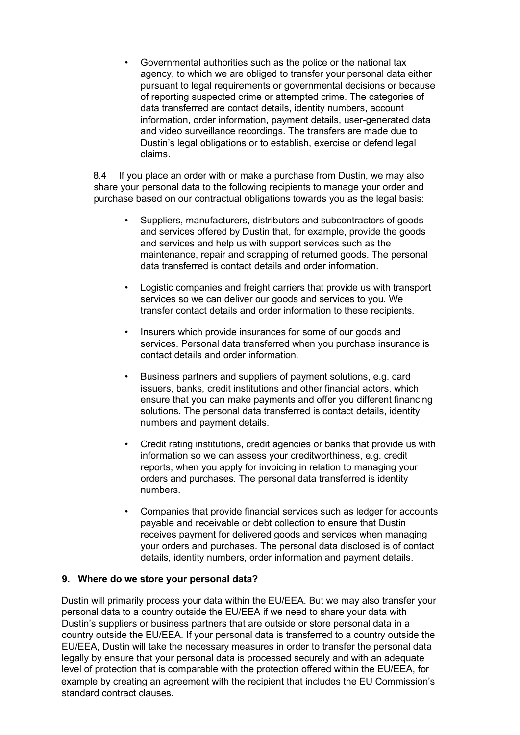• Governmental authorities such as the police or the national tax agency, to which we are obliged to transfer your personal data either pursuant to legal requirements or governmental decisions or because of reporting suspected crime or attempted crime. The categories of data transferred are contact details, identity numbers, account information, order information, payment details, user-generated data and video surveillance recordings. The transfers are made due to Dustin's legal obligations or to establish, exercise or defend legal claims.

8.4 If you place an order with or make a purchase from Dustin, we may also share your personal data to the following recipients to manage your order and purchase based on our contractual obligations towards you as the legal basis:

- Suppliers, manufacturers, distributors and subcontractors of goods and services offered by Dustin that, for example, provide the goods and services and help us with support services such as the maintenance, repair and scrapping of returned goods. The personal data transferred is contact details and order information.
- Logistic companies and freight carriers that provide us with transport services so we can deliver our goods and services to you. We transfer contact details and order information to these recipients.
- Insurers which provide insurances for some of our goods and services. Personal data transferred when you purchase insurance is contact details and order information.
- Business partners and suppliers of payment solutions, e.g. card issuers, banks, credit institutions and other financial actors, which ensure that you can make payments and offer you different financing solutions. The personal data transferred is contact details, identity numbers and payment details.
- Credit rating institutions, credit agencies or banks that provide us with information so we can assess your creditworthiness, e.g. credit reports, when you apply for invoicing in relation to managing your orders and purchases. The personal data transferred is identity numbers.
- Companies that provide financial services such as ledger for accounts payable and receivable or debt collection to ensure that Dustin receives payment for delivered goods and services when managing your orders and purchases. The personal data disclosed is of contact details, identity numbers, order information and payment details.

#### **9. Where do we store your personal data?**

Dustin will primarily process your data within the EU/EEA. But we may also transfer your personal data to a country outside the EU/EEA if we need to share your data with Dustin's suppliers or business partners that are outside or store personal data in a country outside the EU/EEA. If your personal data is transferred to a country outside the EU/EEA, Dustin will take the necessary measures in order to transfer the personal data legally by ensure that your personal data is processed securely and with an adequate level of protection that is comparable with the protection offered within the EU/EEA, for example by creating an agreement with the recipient that includes the EU Commission's standard contract clauses.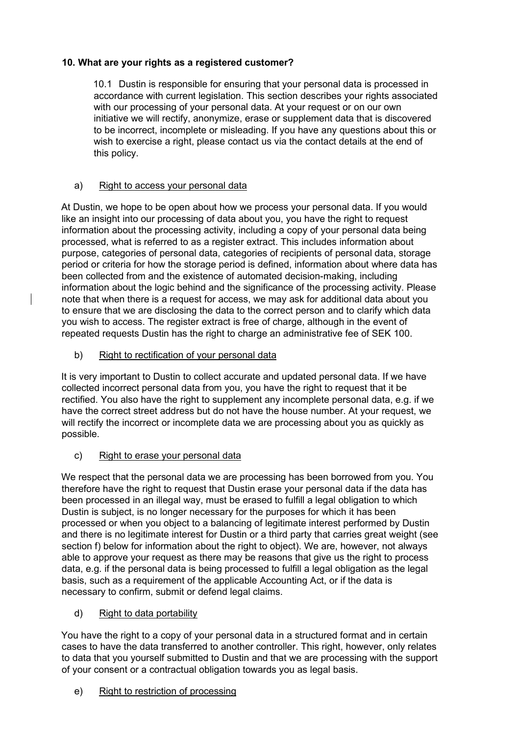## **10. What are your rights as a registered customer?**

10.1 Dustin is responsible for ensuring that your personal data is processed in accordance with current legislation. This section describes your rights associated with our processing of your personal data. At your request or on our own initiative we will rectify, anonymize, erase or supplement data that is discovered to be incorrect, incomplete or misleading. If you have any questions about this or wish to exercise a right, please contact us via the contact details at the end of this policy.

## a) Right to access your personal data

At Dustin, we hope to be open about how we process your personal data. If you would like an insight into our processing of data about you, you have the right to request information about the processing activity, including a copy of your personal data being processed, what is referred to as a register extract. This includes information about purpose, categories of personal data, categories of recipients of personal data, storage period or criteria for how the storage period is defined, information about where data has been collected from and the existence of automated decision-making, including information about the logic behind and the significance of the processing activity. Please note that when there is a request for access, we may ask for additional data about you to ensure that we are disclosing the data to the correct person and to clarify which data you wish to access. The register extract is free of charge, although in the event of repeated requests Dustin has the right to charge an administrative fee of SEK 100.

## b) Right to rectification of your personal data

It is very important to Dustin to collect accurate and updated personal data. If we have collected incorrect personal data from you, you have the right to request that it be rectified. You also have the right to supplement any incomplete personal data, e.g. if we have the correct street address but do not have the house number. At your request, we will rectify the incorrect or incomplete data we are processing about you as quickly as possible.

#### c) Right to erase your personal data

We respect that the personal data we are processing has been borrowed from you. You therefore have the right to request that Dustin erase your personal data if the data has been processed in an illegal way, must be erased to fulfill a legal obligation to which Dustin is subject, is no longer necessary for the purposes for which it has been processed or when you object to a balancing of legitimate interest performed by Dustin and there is no legitimate interest for Dustin or a third party that carries great weight (see section f) below for information about the right to object). We are, however, not always able to approve your request as there may be reasons that give us the right to process data, e.g. if the personal data is being processed to fulfill a legal obligation as the legal basis, such as a requirement of the applicable Accounting Act, or if the data is necessary to confirm, submit or defend legal claims.

#### d) Right to data portability

You have the right to a copy of your personal data in a structured format and in certain cases to have the data transferred to another controller. This right, however, only relates to data that you yourself submitted to Dustin and that we are processing with the support of your consent or a contractual obligation towards you as legal basis.

## e) Right to restriction of processing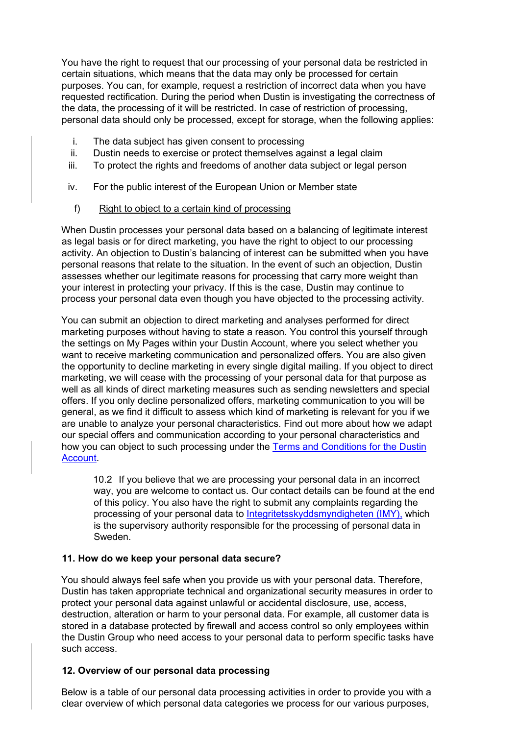You have the right to request that our processing of your personal data be restricted in certain situations, which means that the data may only be processed for certain purposes. You can, for example, request a restriction of incorrect data when you have requested rectification. During the period when Dustin is investigating the correctness of the data, the processing of it will be restricted. In case of restriction of processing, personal data should only be processed, except for storage, when the following applies:

- i. The data subject has given consent to processing
- ii. Dustin needs to exercise or protect themselves against a legal claim
- iii. To protect the rights and freedoms of another data subject or legal person
- iv. For the public interest of the European Union or Member state
	- f) Right to object to a certain kind of processing

When Dustin processes your personal data based on a balancing of legitimate interest as legal basis or for direct marketing, you have the right to object to our processing activity. An objection to Dustin's balancing of interest can be submitted when you have personal reasons that relate to the situation. In the event of such an objection, Dustin assesses whether our legitimate reasons for processing that carry more weight than your interest in protecting your privacy. If this is the case, Dustin may continue to process your personal data even though you have objected to the processing activity.

You can submit an objection to direct marketing and analyses performed for direct marketing purposes without having to state a reason. You control this yourself through the settings on My Pages within your Dustin Account, where you select whether you want to receive marketing communication and personalized offers. You are also given the opportunity to decline marketing in every single digital mailing. If you object to direct marketing, we will cease with the processing of your personal data for that purpose as well as all kinds of direct marketing measures such as sending newsletters and special offers. If you only decline personalized offers, marketing communication to you will be general, as we find it difficult to assess which kind of marketing is relevant for you if we are unable to analyze your personal characteristics. Find out more about how we adapt our special offers and communication according to your personal characteristics and how you can object to such processing under the [Terms and Conditions for the Dustin](https://www.dustin.se/service/dustinkonto/)  [Account.](https://www.dustin.se/service/dustinkonto/) 

10.2 If you believe that we are processing your personal data in an incorrect way, you are welcome to contact us. Our contact details can be found at the end of this policy. You also have the right to submit any complaints regarding the processing of your personal data [to](https://www.imy.se/) [Integritetsskyddsmyndigheten \(IMY\)](https://www.imy.se/en/)[,](https://www.imy.se/) which is the supervisory authority responsible for the processing of personal data in Sweden.

#### **11. How do we keep your personal data secure?**

You should always feel safe when you provide us with your personal data. Therefore, Dustin has taken appropriate technical and organizational security measures in order to protect your personal data against unlawful or accidental disclosure, use, access, destruction, alteration or harm to your personal data. For example, all customer data is stored in a database protected by firewall and access control so only employees within the Dustin Group who need access to your personal data to perform specific tasks have such access.

#### **12. Overview of our personal data processing**

Below is a table of our personal data processing activities in order to provide you with a clear overview of which personal data categories we process for our various purposes,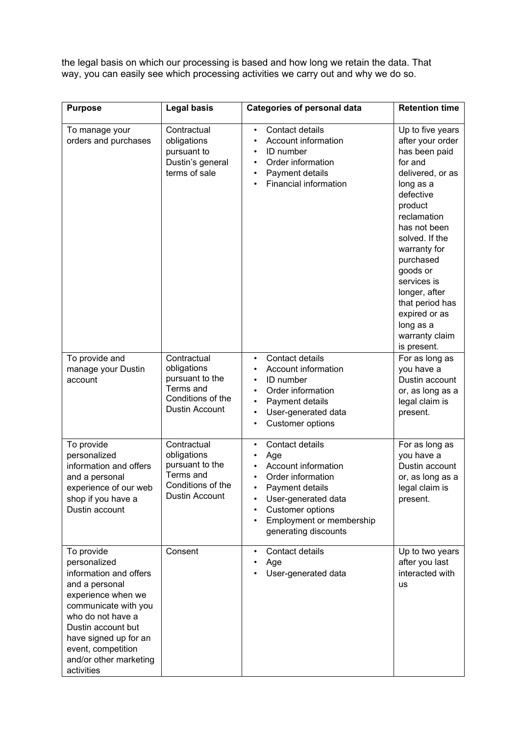the legal basis on which our processing is based and how long we retain the data. That way, you can easily see which processing activities we carry out and why we do so.

| <b>Purpose</b>                                                                                                                                                                                                                                         | <b>Legal basis</b>                                                                                       | <b>Categories of personal data</b>                                                                                                                                                                     | <b>Retention time</b>                                                                                                                                                                                                                                                                                                                 |
|--------------------------------------------------------------------------------------------------------------------------------------------------------------------------------------------------------------------------------------------------------|----------------------------------------------------------------------------------------------------------|--------------------------------------------------------------------------------------------------------------------------------------------------------------------------------------------------------|---------------------------------------------------------------------------------------------------------------------------------------------------------------------------------------------------------------------------------------------------------------------------------------------------------------------------------------|
| To manage your<br>orders and purchases                                                                                                                                                                                                                 | Contractual<br>obligations<br>pursuant to<br>Dustin's general<br>terms of sale                           | Contact details<br>$\bullet$<br>Account information<br>$\bullet$<br>ID number<br>$\bullet$<br>Order information<br>Payment details<br>Financial information                                            | Up to five years<br>after your order<br>has been paid<br>for and<br>delivered, or as<br>long as a<br>defective<br>product<br>reclamation<br>has not been<br>solved. If the<br>warranty for<br>purchased<br>goods or<br>services is<br>longer, after<br>that period has<br>expired or as<br>long as a<br>warranty claim<br>is present. |
| To provide and<br>manage your Dustin<br>account                                                                                                                                                                                                        | Contractual<br>obligations<br>pursuant to the<br>Terms and<br>Conditions of the<br>Dustin Account        | Contact details<br>$\bullet$<br><b>Account information</b><br><b>ID</b> number<br>Order information<br>Payment details<br>User-generated data<br>$\bullet$<br><b>Customer options</b><br>$\bullet$     | For as long as<br>you have a<br>Dustin account<br>or, as long as a<br>legal claim is<br>present.                                                                                                                                                                                                                                      |
| To provide<br>personalized<br>information and offers<br>and a personal<br>experience of our web<br>shop if you have a<br>Dustin account                                                                                                                | Contractual<br>obligations<br>pursuant to the<br>Terms and<br>Conditions of the<br><b>Dustin Account</b> | Contact details<br>$\bullet$<br>Age<br>٠<br>Account information<br>Order information<br>Payment details<br>User-generated data<br>Customer options<br>Employment or membership<br>generating discounts | For as long as<br>you have a<br>Dustin account<br>or, as long as a<br>legal claim is<br>present.                                                                                                                                                                                                                                      |
| To provide<br>personalized<br>information and offers<br>and a personal<br>experience when we<br>communicate with you<br>who do not have a<br>Dustin account but<br>have signed up for an<br>event, competition<br>and/or other marketing<br>activities | Consent                                                                                                  | Contact details<br>Age<br>User-generated data                                                                                                                                                          | Up to two years<br>after you last<br>interacted with<br><b>us</b>                                                                                                                                                                                                                                                                     |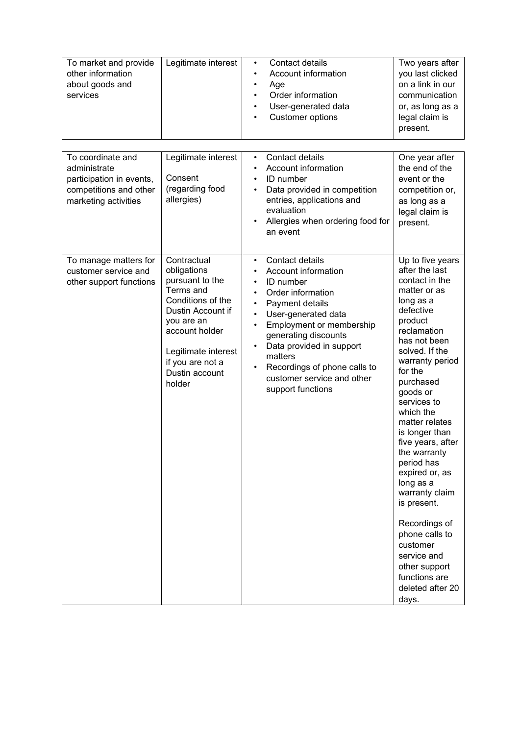| To market and provide<br>other information<br>about goods and<br>services | Legitimate interest | $\bullet$ | Contact details<br>Account information<br>Age<br>Order information<br>User-generated data<br>Customer options | Two years after<br>you last clicked<br>on a link in our<br>communication<br>or, as long as a<br>legal claim is<br>present. |
|---------------------------------------------------------------------------|---------------------|-----------|---------------------------------------------------------------------------------------------------------------|----------------------------------------------------------------------------------------------------------------------------|
|---------------------------------------------------------------------------|---------------------|-----------|---------------------------------------------------------------------------------------------------------------|----------------------------------------------------------------------------------------------------------------------------|

| To coordinate and<br>administrate<br>participation in events,<br>competitions and other<br>marketing activities | Legitimate interest<br>Consent<br>(regarding food<br>allergies)                                                                                                                                             | Contact details<br>$\bullet$<br>Account information<br>$\bullet$<br>ID number<br>Data provided in competition<br>entries, applications and<br>evaluation<br>Allergies when ordering food for<br>an event                                                                                                                                | One year after<br>the end of the<br>event or the<br>competition or,<br>as long as a<br>legal claim is<br>present.                                                                                                                                                                                                                                                                                                                                                                                                                 |
|-----------------------------------------------------------------------------------------------------------------|-------------------------------------------------------------------------------------------------------------------------------------------------------------------------------------------------------------|-----------------------------------------------------------------------------------------------------------------------------------------------------------------------------------------------------------------------------------------------------------------------------------------------------------------------------------------|-----------------------------------------------------------------------------------------------------------------------------------------------------------------------------------------------------------------------------------------------------------------------------------------------------------------------------------------------------------------------------------------------------------------------------------------------------------------------------------------------------------------------------------|
| To manage matters for<br>customer service and<br>other support functions                                        | Contractual<br>obligations<br>pursuant to the<br>Terms and<br>Conditions of the<br>Dustin Account if<br>you are an<br>account holder<br>Legitimate interest<br>if you are not a<br>Dustin account<br>holder | Contact details<br>$\bullet$<br>Account information<br>ID number<br>$\bullet$<br>Order information<br>Payment details<br>User-generated data<br>Employment or membership<br>$\bullet$<br>generating discounts<br>Data provided in support<br>matters<br>Recordings of phone calls to<br>customer service and other<br>support functions | Up to five years<br>after the last<br>contact in the<br>matter or as<br>long as a<br>defective<br>product<br>reclamation<br>has not been<br>solved. If the<br>warranty period<br>for the<br>purchased<br>goods or<br>services to<br>which the<br>matter relates<br>is longer than<br>five years, after<br>the warranty<br>period has<br>expired or, as<br>long as a<br>warranty claim<br>is present.<br>Recordings of<br>phone calls to<br>customer<br>service and<br>other support<br>functions are<br>deleted after 20<br>days. |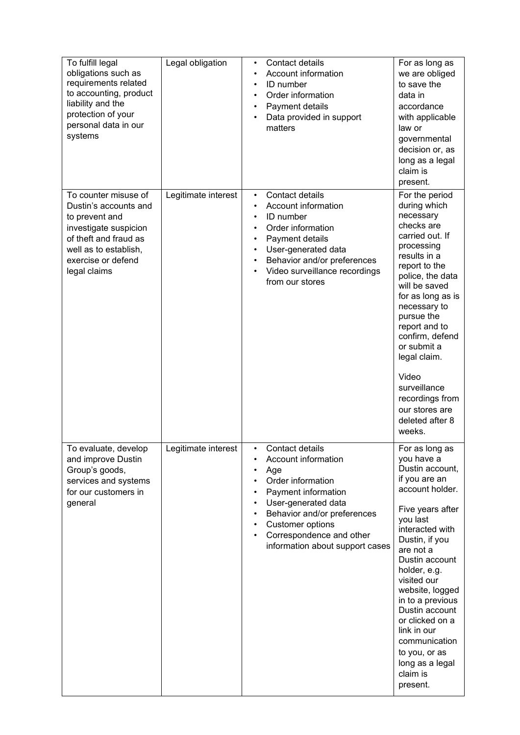| To fulfill legal<br>obligations such as<br>requirements related<br>to accounting, product<br>liability and the<br>protection of your<br>personal data in our<br>systems          | Legal obligation    | Contact details<br>٠<br>Account information<br>ID number<br>$\bullet$<br>Order information<br>Payment details<br>$\bullet$<br>Data provided in support<br>matters                                                                                            | For as long as<br>we are obliged<br>to save the<br>data in<br>accordance<br>with applicable<br>law or<br>governmental<br>decision or, as<br>long as a legal<br>claim is<br>present.                                                                                                                                                                                                            |
|----------------------------------------------------------------------------------------------------------------------------------------------------------------------------------|---------------------|--------------------------------------------------------------------------------------------------------------------------------------------------------------------------------------------------------------------------------------------------------------|------------------------------------------------------------------------------------------------------------------------------------------------------------------------------------------------------------------------------------------------------------------------------------------------------------------------------------------------------------------------------------------------|
| To counter misuse of<br>Dustin's accounts and<br>to prevent and<br>investigate suspicion<br>of theft and fraud as<br>well as to establish,<br>exercise or defend<br>legal claims | Legitimate interest | Contact details<br>$\bullet$<br>Account information<br>ID number<br>$\bullet$<br>Order information<br>Payment details<br>User-generated data<br>Behavior and/or preferences<br>Video surveillance recordings<br>from our stores                              | For the period<br>during which<br>necessary<br>checks are<br>carried out. If<br>processing<br>results in a<br>report to the<br>police, the data<br>will be saved<br>for as long as is<br>necessary to<br>pursue the<br>report and to<br>confirm, defend<br>or submit a<br>legal claim.<br>Video<br>surveillance<br>recordings from<br>our stores are<br>deleted after 8<br>weeks.              |
| To evaluate, develop<br>and improve Dustin<br>Group's goods,<br>services and systems<br>for our customers in<br>general                                                          | Legitimate interest | Contact details<br>Account information<br>Age<br>Order information<br>Payment information<br>User-generated data<br>Behavior and/or preferences<br>$\bullet$<br>Customer options<br>$\bullet$<br>Correspondence and other<br>information about support cases | For as long as<br>you have a<br>Dustin account,<br>if you are an<br>account holder.<br>Five years after<br>you last<br>interacted with<br>Dustin, if you<br>are not a<br>Dustin account<br>holder, e.g.<br>visited our<br>website, logged<br>in to a previous<br>Dustin account<br>or clicked on a<br>link in our<br>communication<br>to you, or as<br>long as a legal<br>claim is<br>present. |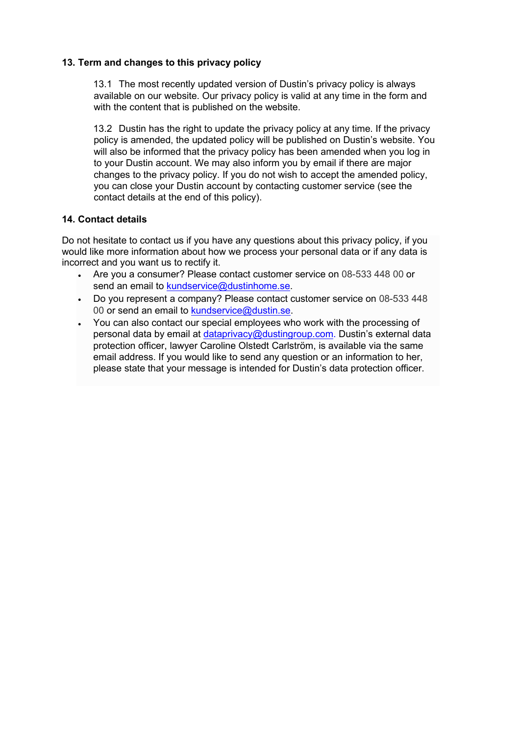### **13. Term and changes to this privacy policy**

13.1 The most recently updated version of Dustin's privacy policy is always available on our website. Our privacy policy is valid at any time in the form and with the content that is published on the website.

13.2 Dustin has the right to update the privacy policy at any time. If the privacy policy is amended, the updated policy will be published on Dustin's website. You will also be informed that the privacy policy has been amended when you log in to your Dustin account. We may also inform you by email if there are major changes to the privacy policy. If you do not wish to accept the amended policy, you can close your Dustin account by contacting customer service (see the contact details at the end of this policy).

## **14. Contact details**

Do not hesitate to contact us if you have any questions about this privacy policy, if you would like more information about how we process your personal data or if any data is incorrect and you want us to rectify it.

- Are you a consumer? Please contact customer service on 08-533 448 00 or send an email to kundservice@dustinhome.se.
- Do you represent a company? Please contact customer service on 08-533 448 00 or send an email to kundservice@dustin.se.
- You can also contact our special employees who work with the processing of personal data by email at dataprivacy@dustingroup.com. Dustin's external data protection officer, lawyer Caroline Olstedt Carlström, is available via the same email address. If you would like to send any question or an information to her, please state that your message is intended for Dustin's data protection officer.